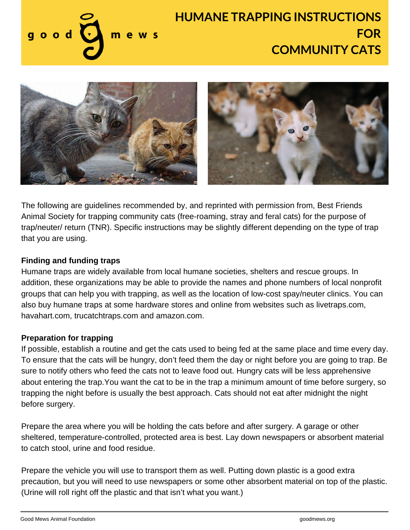

# **HUMANE TRAPPING INSTRUCTIONS FOR COMMUNITY CATS**



The following are guidelines recommended by, and reprinted with permission from, Best Friends Animal Society for trapping community cats (free-roaming, stray and feral cats) for the purpose of trap/neuter/ return (TNR). Specific instructions may be slightly different depending on the type of trap that you are using.

#### **Finding and funding traps**

Humane traps are widely available from local humane societies, shelters and rescue groups. In addition, these organizations may be able to provide the names and phone numbers of local nonprofit groups that can help you with trapping, as well as the location of low-cost spay/neuter clinics. You can also buy humane traps at some hardware stores and online from websites such as livetraps.com, havahart.com, trucatchtraps.com and amazon.com.

#### **Preparation for trapping**

If possible, establish a routine and get the cats used to being fed at the same place and time every day. To ensure that the cats will be hungry, don't feed them the day or night before you are going to trap. Be sure to notify others who feed the cats not to leave food out. Hungry cats will be less apprehensive about entering the trap.You want the cat to be in the trap a minimum amount of time before surgery, so trapping the night before is usually the best approach. Cats should not eat after midnight the night before surgery.

sheltered, temperature-controlled, protected area is best. Lay down newspapers or absorbent material **Please call or email us for details on humane deterrents to keep them out.** to catch stool, urine and food residue. Prepare the area where you will be holding the cats before and after surgery. A garage or other

Prepare the vehicle you will use to transport them as well. Putting down plastic is a good extra precaution, but you will need to use newspapers or some other absorbent material on top of the plastic. (Urine will roll right off the plastic and that isn't what you want.)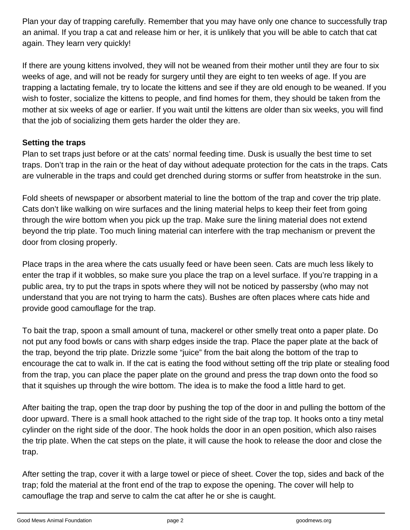Plan your day of trapping carefully. Remember that you may have only one chance to successfully trap an animal. If you trap a cat and release him or her, it is unlikely that you will be able to catch that cat again. They learn very quickly!

If there are young kittens involved, they will not be weaned from their mother until they are four to six weeks of age, and will not be ready for surgery until they are eight to ten weeks of age. If you are trapping a lactating female, try to locate the kittens and see if they are old enough to be weaned. If you wish to foster, socialize the kittens to people, and find homes for them, they should be taken from the mother at six weeks of age or earlier. If you wait until the kittens are older than six weeks, you will find that the job of socializing them gets harder the older they are.

# **Setting the traps**

Plan to set traps just before or at the cats' normal feeding time. Dusk is usually the best time to set traps. Don't trap in the rain or the heat of day without adequate protection for the cats in the traps. Cats are vulnerable in the traps and could get drenched during storms or suffer from heatstroke in the sun.

Fold sheets of newspaper or absorbent material to line the bottom of the trap and cover the trip plate. Cats don't like walking on wire surfaces and the lining material helps to keep their feet from going through the wire bottom when you pick up the trap. Make sure the lining material does not extend beyond the trip plate. Too much lining material can interfere with the trap mechanism or prevent the door from closing properly.

Place traps in the area where the cats usually feed or have been seen. Cats are much less likely to enter the trap if it wobbles, so make sure you place the trap on a level surface. If you're trapping in a public area, try to put the traps in spots where they will not be noticed by passersby (who may not understand that you are not trying to harm the cats). Bushes are often places where cats hide and provide good camouflage for the trap.

To bait the trap, spoon a small amount of tuna, mackerel or other smelly treat onto a paper plate. Do not put any food bowls or cans with sharp edges inside the trap. Place the paper plate at the back of the trap, beyond the trip plate. Drizzle some "juice" from the bait along the bottom of the trap to encourage the cat to walk in. If the cat is eating the food without setting off the trip plate or stealing food from the trap, you can place the paper plate on the ground and press the trap down onto the food so that it squishes up through the wire bottom. The idea is to make the food a little hard to get.

After baiting the trap, open the trap door by pushing the top of the door in and pulling the bottom of the door upward. There is a small hook attached to the right side of the trap top. It hooks onto a tiny metal cylinder on the right side of the door. The hook holds the door in an open position, which also raises the trip plate. When the cat steps on the plate, it will cause the hook to release the door and close the trap.

After setting the trap, cover it with a large towel or piece of sheet. Cover the top, sides and back of the trap; fold the material at the front end of the trap to expose the opening. The cover will help to camouflage the trap and serve to calm the cat after he or she is caught.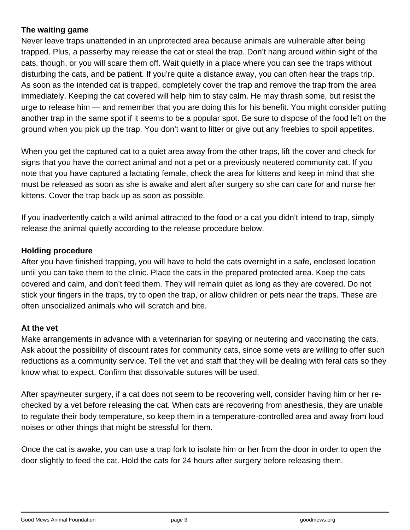## **The waiting game**

Never leave traps unattended in an unprotected area because animals are vulnerable after being trapped. Plus, a passerby may release the cat or steal the trap. Don't hang around within sight of the cats, though, or you will scare them off. Wait quietly in a place where you can see the traps without disturbing the cats, and be patient. If you're quite a distance away, you can often hear the traps trip. As soon as the intended cat is trapped, completely cover the trap and remove the trap from the area immediately. Keeping the cat covered will help him to stay calm. He may thrash some, but resist the urge to release him — and remember that you are doing this for his benefit. You might consider putting another trap in the same spot if it seems to be a popular spot. Be sure to dispose of the food left on the ground when you pick up the trap. You don't want to litter or give out any freebies to spoil appetites.

When you get the captured cat to a quiet area away from the other traps, lift the cover and check for signs that you have the correct animal and not a pet or a previously neutered community cat. If you note that you have captured a lactating female, check the area for kittens and keep in mind that she must be released as soon as she is awake and alert after surgery so she can care for and nurse her kittens. Cover the trap back up as soon as possible.

If you inadvertently catch a wild animal attracted to the food or a cat you didn't intend to trap, simply release the animal quietly according to the release procedure below.

## **Holding procedure**

After you have finished trapping, you will have to hold the cats overnight in a safe, enclosed location until you can take them to the clinic. Place the cats in the prepared protected area. Keep the cats covered and calm, and don't feed them. They will remain quiet as long as they are covered. Do not stick your fingers in the traps, try to open the trap, or allow children or pets near the traps. These are often unsocialized animals who will scratch and bite.

# **At the vet**

Make arrangements in advance with a veterinarian for spaying or neutering and vaccinating the cats. Ask about the possibility of discount rates for community cats, since some vets are willing to offer such reductions as a community service. Tell the vet and staff that they will be dealing with feral cats so they know what to expect. Confirm that dissolvable sutures will be used.

After spay/neuter surgery, if a cat does not seem to be recovering well, consider having him or her rechecked by a vet before releasing the cat. When cats are recovering from anesthesia, they are unable to regulate their body temperature, so keep them in a temperature-controlled area and away from loud noises or other things that might be stressful for them.

Once the cat is awake, you can use a trap fork to isolate him or her from the door in order to open the door slightly to feed the cat. Hold the cats for 24 hours after surgery before releasing them.